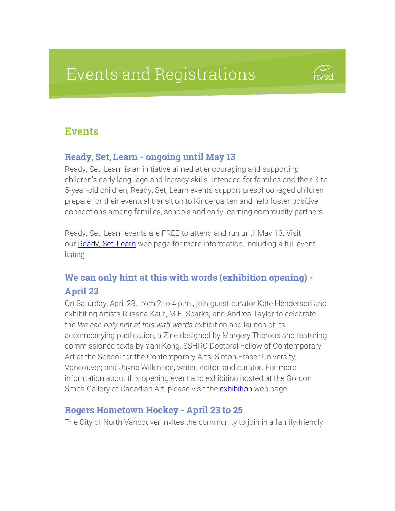# Events and Registrations

## **Events**

#### Ready, Set, Learn - ongoing until May 13

Ready, Set, Learn is an initiative aimed at encouraging and supporting children's early language and literacy skills. Intended for families and their 3-to 5-year-old children, Ready, Set, Learn events support preschool-aged children prepare for their eventual transition to Kindergarten and help foster positive connections among families, schools and early learning community partners.

Ready, Set, Learn events are FREE to attend and run until May 13. Visit our [Ready, Set, Learn](https://www.sd44.ca/ProgramsServices/earlylearning/readysetlearn/Pages/default.aspx#/=) web page for more information, including a full event listing.

## We can only hint at this with words (exhibition opening) - April 23

On Saturday, April 23, from 2 to 4 p.m., join guest curator Kate Henderson and exhibiting artists Russna Kaur, M.E. Sparks, and Andrea Taylor to celebrate the *We can only hint at this with words* exhibition and launch of its accompanying publication, a Zine designed by Margery Theroux and featuring commissioned texts by Yani Kong, SSHRC Doctoral Fellow of Contemporary Art at the School for the Contemporary Arts, Simon Fraser University, Vancouver; and Jayne Wilkinson, writer, editor, and curator. For more information about this opening event and exhibition hosted at the Gordon Smith Gallery of Canadian Art, please visit the **[exhibition](https://smithfoundation.co/exhibitions-items/we-can-only-hint-at-this-with-words/?portfolioCats=60)** web page.

#### Rogers Hometown Hockey - April 23 to 25

The City of North Vancouver invites the community to join in a family-friendly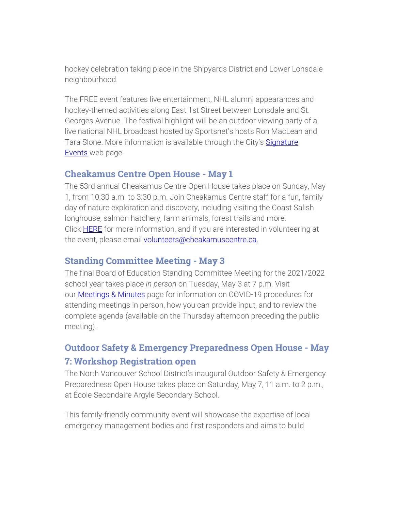hockey celebration taking place in the Shipyards District and Lower Lonsdale neighbourhood.

The FREE event features live entertainment, NHL alumni appearances and hockey-themed activities along East 1st Street between Lonsdale and St. Georges Avenue. The festival highlight will be an outdoor viewing party of a live national NHL broadcast hosted by Sportsnet's hosts Ron MacLean and Tara Slone. More information is available through the City's [Signature](https://www.cnv.org/Parks-Recreation-and-Culture/Signature-Events/Rogers-Hometown-Hockey) [Events](https://www.cnv.org/Parks-Recreation-and-Culture/Signature-Events/Rogers-Hometown-Hockey) web page.

#### Cheakamus Centre Open House - May 1

The 53rd annual Cheakamus Centre Open House takes place on Sunday, May 1, from 10:30 a.m. to 3:30 p.m. Join Cheakamus Centre staff for a fun, family day of nature exploration and discovery, including visiting the Coast Salish longhouse, salmon hatchery, farm animals, forest trails and more. Click **[HERE](https://www.cheakamuscentre.ca/news/open-house)** for more information, and if you are interested in volunteering at the event, please email [volunteers@cheakamuscentre.ca.](mailto:volunteers@cheakamuscentre.ca)

#### Standing Committee Meeting - May 3

The final Board of Education Standing Committee Meeting for the 2021/2022 school year takes place *in person* on Tuesday, May 3 at 7 p.m. Visit our [Meetings & Minutes](https://www.sd44.ca/Board/Meetings/Pages/default.aspx#/=) page for information on COVID-19 procedures for attending meetings in person, how you can provide input, and to review the complete agenda (available on the Thursday afternoon preceding the public meeting).

## Outdoor Safety & Emergency Preparedness Open House - May 7: Workshop Registration open

The North Vancouver School District's inaugural Outdoor Safety & Emergency Preparedness Open House takes place on Saturday, May 7, 11 a.m. to 2 p.m., at École Secondaire Argyle Secondary School.

This family-friendly community event will showcase the expertise of local emergency management bodies and first responders and aims to build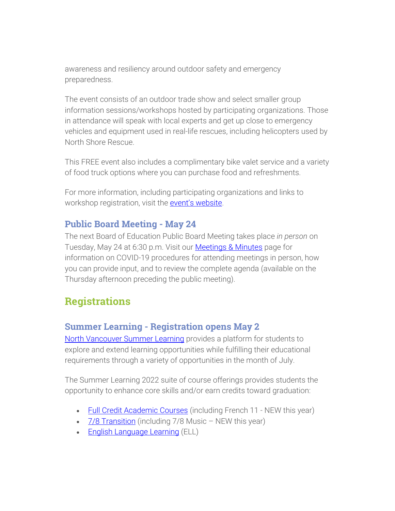awareness and resiliency around outdoor safety and emergency preparedness.

The event consists of an outdoor trade show and select smaller group information sessions/workshops hosted by participating organizations. Those in attendance will speak with local experts and get up close to emergency vehicles and equipment used in real-life rescues, including helicopters used by North Shore Rescue.

This FREE event also includes a complimentary bike valet service and a variety of food truck options where you can purchase food and refreshments.

For more information, including participating organizations and links to workshop registration, visit the event's [website.](https://my44.sd44.ca/group/p6jr1eo/Pages/default.aspx#/=)

### Public Board Meeting - May 24

The next Board of Education Public Board Meeting takes place *in person* on Tuesday, May 24 at 6:30 p.m. Visit our [Meetings & Minutes](https://www.sd44.ca/Board/Meetings/Pages/default.aspx#/=) page for information on COVID-19 procedures for attending meetings in person, how you can provide input, and to review the complete agenda (available on the Thursday afternoon preceding the public meeting).

## **Registrations**

## Summer Learning - Registration opens May 2

[North Vancouver Summer Learning](https://www.sd44.ca/school/summer/Pages/default.aspx#/=) provides a platform for students to explore and extend learning opportunities while fulfilling their educational requirements through a variety of opportunities in the month of July.

The Summer Learning 2022 suite of course offerings provides students the opportunity to enhance core skills and/or earn credits toward graduation:

- Full Credit [Academic](https://www.sd44.ca/school/summer/ProgramsServices/FullCredit/Pages/default.aspx#/=) Courses (including French 11 NEW this year)
- 7/8 [Transition](https://www.sd44.ca/school/summer/ProgramsServices/Grade78TransitionCourses/Pages/default.aspx#/=) (including 7/8 Music NEW this year)
- **English [Language](https://www.sd44.ca/school/summer/ProgramsServices/ELL/Pages/default.aspx#/=) Learning (ELL)**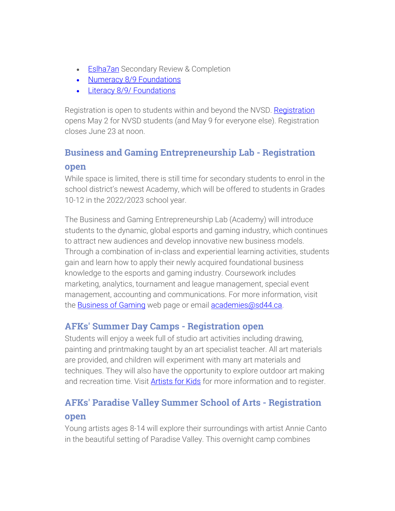- **[Eslha7an](https://www.sd44.ca/school/summer/ProgramsServices/Pages/Eslha7an.aspx#/=) Secondary Review & Completion**
- Numeracy 8/9 [Foundations](https://www.sd44.ca/school/summer/ProgramsServices/Numeracy/Pages/default.aspx#/=)
- Literacy 8/9/ [Foundations](https://www.sd44.ca/school/summer/ProgramsServices/Literacy/Pages/default.aspx#/=)

Registration is open to students within and beyond the NVSD. [Registration](https://www.sd44.ca/school/summer/Registration/Pages/default.aspx#/=) opens May 2 for NVSD students (and May 9 for everyone else). Registration closes June 23 at noon.

## Business and Gaming Entrepreneurship Lab - Registration open

While space is limited, there is still time for secondary students to enrol in the school district's newest Academy, which will be offered to students in Grades 10-12 in the 2022/2023 school year.

The Business and Gaming Entrepreneurship Lab (Academy) will introduce students to the dynamic, global esports and gaming industry, which continues to attract new audiences and develop innovative new business models. Through a combination of in-class and experiential learning activities, students gain and learn how to apply their newly acquired foundational business knowledge to the esports and gaming industry. Coursework includes marketing, analytics, tournament and league management, special event management, accounting and communications. For more information, visit the **[Business](https://www.sd44.ca/ProgramsServices/Academies/Gaming/Pages/default.aspx#/=) of Gaming** web page or email **academies**@sd44.ca.

## AFKs' Summer Day Camps - Registration open

Students will enjoy a week full of studio art activities including drawing, painting and printmaking taught by an art specialist teacher. All art materials are provided, and children will experiment with many art materials and techniques. They will also have the opportunity to explore outdoor art making and recreation time. Visit **[Artists for Kids](https://www.sd44.ca/school/artistsforkids/learn/springandsummerdaycamps/Pages/default.aspx#/=)** for more information and to register.

## AFKs' Paradise Valley Summer School of Arts - Registration open

Young artists ages 8-14 will explore their surroundings with artist Annie Canto in the beautiful setting of Paradise Valley. This overnight camp combines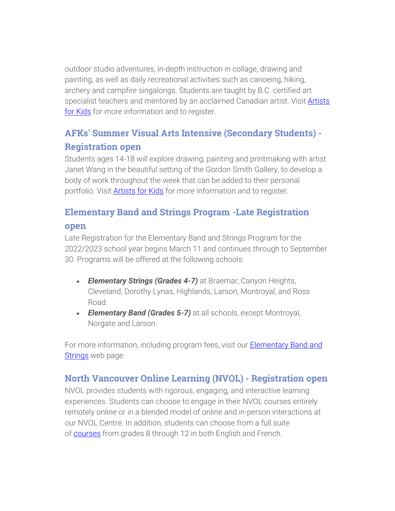outdoor studio adventures, in-depth instruction in collage, drawing and painting, as well as daily recreational activities such as canoeing, hiking, archery and campfire singalongs. Students are taught by B.C. certified art specialist teachers and mentored by an acclaimed Canadian artist. Visit **Artists** [for Kids](https://www.sd44.ca/school/artistsforkids/learn/paradisevalleysummervisualartscamps/Pages/default.aspx#/=) for more information and to register.

## AFKs' Summer Visual Arts Intensive (Secondary Students) - Registration open

Students ages 14-18 will explore drawing, painting and printmaking with artist Janet Wang in the beautiful setting of the Gordon Smith Gallery, to develop a body of work throughout the week that can be added to their personal portfolio. Visit **[Artists for Kids](https://www.sd44.ca/school/artistsforkids/learn/springandsummerdaycamps/Pages/default.aspx#/=)** for more information and to register.

## Elementary Band and Strings Program -Late Registration

#### open

Late Registration for the Elementary Band and Strings Program for the 2022/2023 school year begins March 11 and continues through to September 30. Programs will be offered at the following schools:

- *Elementary Strings (Grades 4-7)* at Braemar, Canyon Heights, Cleveland, Dorothy Lynas, Highlands, Larson, Montroyal, and Ross Road.
- *Elementary Band (Grades 5-7)* at all schools, except Montroyal, Norgate and Larson.

For more information, including program fees, visit our [Elementary](https://www.sd44.ca/ProgramsServices/BandStrings/Pages/default.aspx#/=) Band and [Strings](https://www.sd44.ca/ProgramsServices/BandStrings/Pages/default.aspx#/=) web page.

## North Vancouver Online Learning (NVOL) - Registration open

NVOL provides students with rigorous, engaging, and interactive learning experiences. Students can choose to engage in their NVOL courses entirely remotely online or in a blended model of online and in-person interactions at our NVOL Centre. In addition, students can choose from a full suite of [courses](https://www.sd44.ca/school/onlinelearning/ProgramsServices/Courses/Pages/default.aspx#/=) from grades 8 through 12 in both English and French.